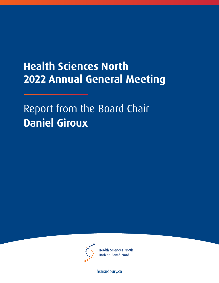## **Health Sciences North 2022 Annual General Meeting**

Report from the Board Chair **Daniel Giroux** 



**Health Sciences North** Horizon Santé-Nord

[hsnsudbury.ca](www.hsnsudbury.ca)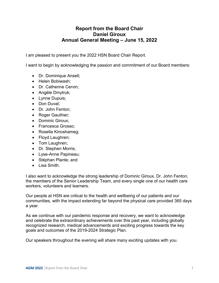## **Annual General Meeting – June 15, 2022 Report from the Board Chair Daniel Giroux**

I am pleased to present you the 2022 HSN Board Chair Report.

I want to begin by acknowledging the passion and commitment of our Board members:

- Dr. Dominique Ansell;
- Helen Bobiwash;
- Dr. Catherine Cervin;
- Angèle Dmytruk;
- Lynne Dupuis;
- Don Duval;
- Dr. John Fenton;
- Roger Gauthier;
- Dominic Giroux;
- Francesca Grosso:
- Rosella Kinoshameg;
- Floyd Laughren;
- Tom Laughren;
- Dr. Stephen Morris;
- Lyse-Anne Papineau;
- Stéphan Plante; and
- Lisa Smith.

I also want to acknowledge the strong leadership of Dominic Giroux, Dr. John Fenton, the members of the Senior Leadership Team, and every single one of our health care workers, volunteers and learners.

 Our people at HSN are critical to the health and wellbeing of our patients and our communities, with the impact extending far beyond the physical care provided 365 days a year.

a year.<br>As we continue with our pandemic response and recovery, we want to acknowledge and celebrate the extraordinary achievements over this past year, including globally recognized research, medical advancements and exciting progress towards the key goals and outcomes of the 2019-2024 Strategic Plan.

Our speakers throughout the evening will share many exciting updates with you.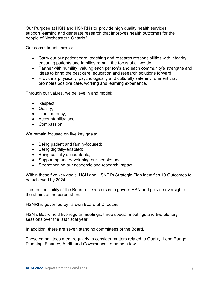people of Northeastern Ontario.' Our Purpose at HSN and HSNRI is to 'provide high quality health services, support learning and generate research that improves health outcomes for the

Our commitments are to:

- Carry out our patient care, teaching and research responsibilities with integrity, ensuring patients and families remain the focus of all we do.
- Partner with humility, valuing each person's and each community's strengths and ideas to bring the best care, education and research solutions forward.
- Provide a physically, psychologically and culturally safe environment that promotes positive care, working and learning experience.

Through our values, we believe in and model:

- Respect;
- Quality;
- Transparency;
- Accountability; and
- Compassion.

We remain focused on five key goals:

- Being patient and family-focused;
- Being digitally-enabled;
- Being socially accountable;
- Supporting and developing our people; and
- Strengthening our academic and research impact.

Within these five key goals, HSN and HSNRI's Strategic Plan identifies 19 Outcomes to be achieved by 2024.

The responsibility of the Board of Directors is to govern HSN and provide oversight on the affairs of the corporation.

HSNRI is governed by its own Board of Directors.

HSN's Board held five regular meetings, three special meetings and two plenary sessions over the last fiscal year.

In addition, there are seven standing committees of the Board.

These committees meet regularly to consider matters related to Quality, Long Range Planning, Finance, Audit, and Governance, to name a few.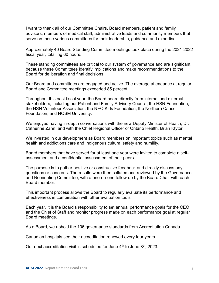advisors, members of medical staff, administrative leads and community members that serve on these various committees for their leadership, guidance and expertise. I want to thank all of our Committee Chairs, Board members, patient and family

 fiscal year, totalling 60 hours. Approximately 40 Board Standing Committee meetings took place during the 2021-2022

 because these Committees identify implications and make recommendations to the Board for deliberation and final decisions. These standing committees are critical to our system of governance and are significant

Our Board and committees are engaged and active. The average attendance at regular Board and Committee meetings exceeded 85 percent.

 stakeholders, including our Patient and Family Advisory Council, the HSN Foundation, the HSN Volunteer Association, the NEO Kids Foundation, the Northern Cancer Throughout this past fiscal year, the Board heard directly from internal and external Foundation, and NOSM University.

We enjoyed having in-depth conversations with the new Deputy Minister of Health, Dr. Catherine Zahn, and with the Chief Regional Officer of Ontario Health, Brian Ktytor.

We invested in our development as Board members on important topics such as mental health and addictions care and Indigenous cultural safety and humility.

Board members that have served for at least one year were invited to complete a selfassessment and a confidential assessment of their peers.

The purpose is to gather positive or constructive feedback and directly discuss any questions or concerns. The results were then collated and reviewed by the Governance and Nominating Committee, with a one-on-one follow-up by the Board Chair with each Board member.

 This important process allows the Board to regularly evaluate its performance and effectiveness in combination with other evaluation tools.

Each year, it is the Board's responsibility to set annual performance goals for the CEO and the Chief of Staff and monitor progress made on each performance goal at regular Board meetings.

As a Board, we uphold the 106 governance standards from Accreditation Canada.

Canadian hospitals see their accreditation renewed every four years.

Our next accreditation visit is scheduled for June  $4<sup>th</sup>$  to June  $8<sup>th</sup>$ , 2023.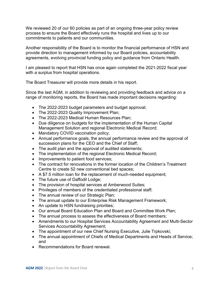We reviewed 20 of our 60 policies as part of an ongoing three-year policy review process to ensure the Board effectively runs the hospital and lives up to our commitments to patients and our communities.

 Another responsibility of the Board is to monitor the financial performance of HSN and provide direction to management informed by our Board policies, accountability agreements, evolving provincial funding policy and guidance from Ontario Health.

 I am pleased to report that HSN has once again completed the 2021-2022 fiscal year with a surplus from hospital operations.

The Board Treasurer will provide more details in his report.

 Since the last AGM, in addition to reviewing and providing feedback and advice on a range of monitoring reports, the Board has made important decisions regarding:

- The 2022-2023 budget parameters and budget approval;
- The 2022-2023 Quality Improvement Plan;
- The 2022-2023 Medical Human Resources Plan;
- • Due diligence on budgets for the implementation of the Human Capital Management Solution and regional Electronic Medical Record;
- Mandatory COVID vaccination policy;
- succession plans for the CEO and the Chief of Staff; • Annual performance goals, the annual performance review and the approval of
- The audit plan and the approval of audited statements;
- The implementation of the regional Electronic Medical Record;
- Improvements to patient food services;
- The contract for renovations in the former location of the Children's Treatment Centre to create 52 new conventional bed spaces;
- A \$7.5 million loan for the replacement of much-needed equipment;
- The future use of Daffodil Lodge;
- The provision of hospital services at Amberwood Suites;
- Privileges of members of the credentialed professional staff;
- The annual review of our Strategic Plan;
- The annual update to our Enterprise Risk Management Framework;
- An update to HSN fundraising priorities;
- Our annual Board Education Plan and Board and Committee Work Plan;
- The annual process to assess the effectiveness of Board members;
- Amendments to our Hospital Services Accountability Agreement and Multi-Sector Services Accountability Agreement;
- The appointment of our new Chief Nursing Executive, Julie Trpkovski;
- The annual appointment of Chiefs of Medical Departments and Heads of Service; and
- Recommendations for Board renewal.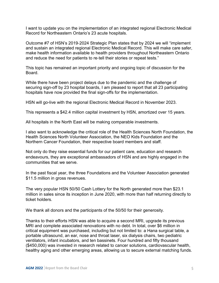I want to update you on the implementation of an integrated regional Electronic Medical Record for Northeastern Ontario's 23 acute hospitals.

Outcome #7 of HSN's 2019-2024 Strategic Plan states that by 2024 we will "implement and sustain an integrated regional Electronic Medical Record. This will make care safer, make health information available to health providers throughout Northeastern Ontario and reduce the need for patients to re-tell their stories or repeat tests."

 This topic has remained an important priority and ongoing topic of discussion for the Board.

While there have been project delays due to the pandemic and the challenge of securing sign-off by 23 hospital boards, I am pleased to report that all 23 participating hospitals have now provided the final sign-offs for the implementation.

HSN will go-live with the regional Electronic Medical Record in November 2023.

This represents a \$42.4 million capital investment by HSN, amortized over 15 years.

All hospitals in the North East will be making comparable investments.

I also want to acknowledge the critical role of the Health Sciences North Foundation, the Health Sciences North Volunteer Association, the NEO Kids Foundation and the Northern Cancer Foundation, their respective board members and staff.

 Not only do they raise essential funds for our patient care, education and research endeavours, they are exceptional ambassadors of HSN and are highly engaged in the communities that we serve.

In the past fiscal year, the three Foundations and the Volunteer Association generated \$11.5 million in gross revenues.

The very popular HSN 50/50 Cash Lottery for the North generated more than \$23.1 million in sales since its inception in June 2020, with more than half returning directly to ticket holders.

We thank all donors and the participants of the 50/50 for their generosity.

Thanks to their efforts HSN was able to acquire a second MRI, upgrade its previous MRI and complete associated renovations with no debt. In total, over \$6 million in critical equipment was purchased, including but not limited to: a Hana surgical table, a portable ultrasound, an ear, nose and throat laser, six dialysis chairs, two pediatric ventilators, infant incubators, and ten bassinets. Four hundred and fifty thousand (\$450,000) was invested in research related to cancer solutions, cardiovascular health, healthy aging and other emerging areas, allowing us to secure external matching funds.